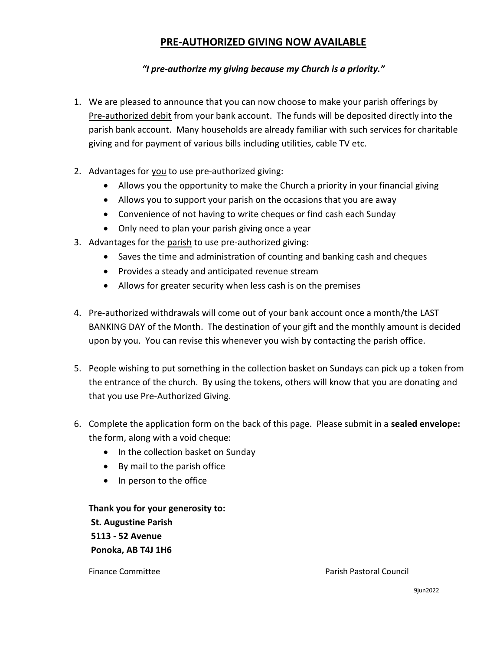## **PRE-AUTHORIZED GIVING NOW AVAILABLE**

## *"I pre-authorize my giving because my Church is a priority."*

- 1. We are pleased to announce that you can now choose to make your parish offerings by Pre-authorized debit from your bank account. The funds will be deposited directly into the parish bank account. Many households are already familiar with such services for charitable giving and for payment of various bills including utilities, cable TV etc.
- 2. Advantages for you to use pre-authorized giving:
	- Allows you the opportunity to make the Church a priority in your financial giving
	- Allows you to support your parish on the occasions that you are away
	- Convenience of not having to write cheques or find cash each Sunday
	- Only need to plan your parish giving once a year
- 3. Advantages for the parish to use pre-authorized giving:
	- Saves the time and administration of counting and banking cash and cheques
	- Provides a steady and anticipated revenue stream
	- Allows for greater security when less cash is on the premises
- 4. Pre-authorized withdrawals will come out of your bank account once a month/the LAST BANKING DAY of the Month. The destination of your gift and the monthly amount is decided upon by you. You can revise this whenever you wish by contacting the parish office.
- 5. People wishing to put something in the collection basket on Sundays can pick up a token from the entrance of the church. By using the tokens, others will know that you are donating and that you use Pre-Authorized Giving.
- 6. Complete the application form on the back of this page. Please submit in a **sealed envelope:** the form, along with a void cheque:
	- In the collection basket on Sunday
	- By mail to the parish office
	- In person to the office

**Thank you for your generosity to: St. Augustine Parish 5113 - 52 Avenue Ponoka, AB T4J 1H6**

Finance Committee Parish Pastoral Council